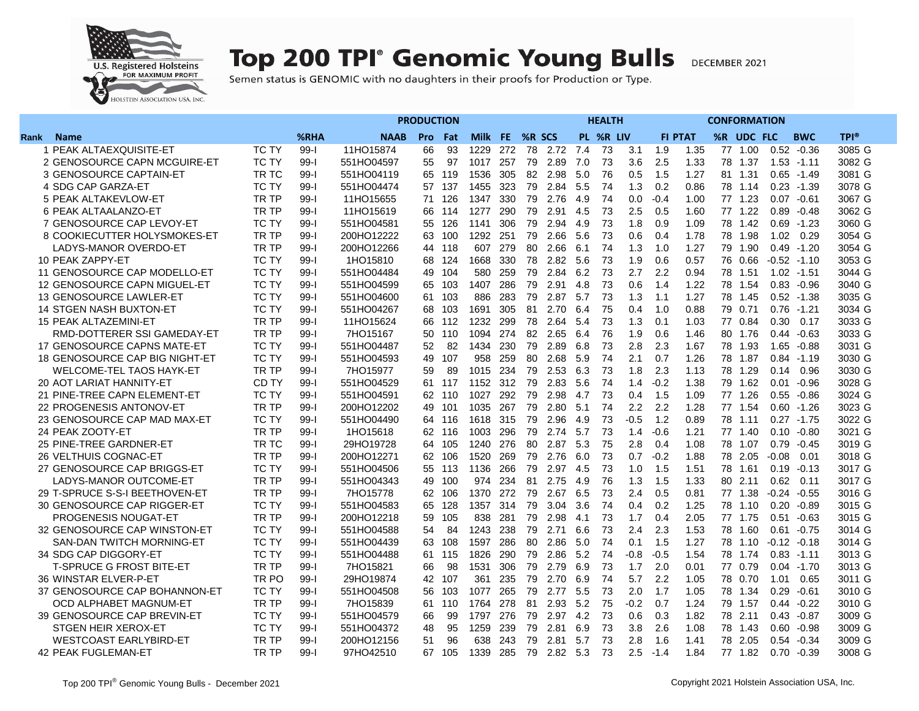

## **Top 200 TPI° Genomic Young Bulls**

DECEMBER 2021

Semen status is GENOMIC with no daughters in their proofs for Production or Type.

|                                 |              |          | <b>PRODUCTION</b> |            |     |      |     | <b>HEALTH</b> |      |      |           |        |        |                |            |         |               |             |
|---------------------------------|--------------|----------|-------------------|------------|-----|------|-----|---------------|------|------|-----------|--------|--------|----------------|------------|---------|---------------|-------------|
| Rank<br><b>Name</b>             |              | %RHA     | <b>NAAB</b>       | <b>Pro</b> | Fat | Milk | FE. | %R SCS        |      |      | PL %R LIV |        |        | <b>FI PTAT</b> | %R UDC FLC |         | <b>BWC</b>    | <b>TPI®</b> |
| PEAK ALTAEXQUISITE-ET<br>1      | <b>TC TY</b> | $99 - 1$ | 11HO15874         | 66         | 93  | 1229 | 272 | 78            | 2.72 | 7.4  | 73        | 3.1    | 1.9    | 1.35           | 77 1.00    | 0.52    | $-0.36$       | 3085 G      |
| 2 GENOSOURCE CAPN MCGUIRE-ET    | <b>TC TY</b> | $99 - 1$ | 551HO04597        | 55         | 97  | 1017 | 257 | 79            | 2.89 | 7.0  | 73        | 3.6    | 2.5    | 1.33           | 78 1.37    |         | $1.53 - 1.11$ | 3082 G      |
| 3 GENOSOURCE CAPTAIN-ET         | TR TC        | $99-1$   | 551HO04119        | 65         | 119 | 1536 | 305 | 82            | 2.98 | 5.0  | 76        | 0.5    | 1.5    | 1.27           | 81 1.31    | 0.65    | $-1.49$       | 3081 G      |
| 4 SDG CAP GARZA-ET              | <b>TC TY</b> | $99 - 1$ | 551HO04474        | 57         | 137 | 1455 | 323 | 79            | 2.84 | 5.5  | 74        | 1.3    | 0.2    | 0.86           | 78 1.14    |         | $0.23 - 1.39$ | 3078 G      |
| 5 PEAK ALTAKEVLOW-ET            | TR TP        | $99 - 1$ | 11HO15655         | 71         | 126 | 1347 | 330 | 79            | 2.76 | 4.9  | 74        | 0.0    | $-0.4$ | 1.00           | 77 1.23    |         | $0.07 - 0.61$ | 3067 G      |
| 6 PEAK ALTAALANZO-ET            | TR TP        | $99-1$   | 11HO15619         | 66         | 114 | 1277 | 290 | 79            | 2.91 | 4.5  | 73        | 2.5    | 0.5    | 1.60           | 77 1.22    | 0.89    | $-0.48$       | 3062 G      |
| 7 GENOSOURCE CAP LEVOY-ET       | TC TY        | $99 - 1$ | 551HO04581        | 55         | 126 | 1141 | 306 | 79            | 2.94 | 4.9  | 73        | 1.8    | 0.9    | 1.09           | 78<br>1.42 | 0.69    | $-1.23$       | 3060 G      |
| 8 COOKIECUTTER HOLYSMOKES-ET    | TR TP        | $99-1$   | 200HO12222        | 63         | 100 | 1292 | 251 | 79            | 2.66 | 5.6  | 73        | 0.6    | 0.4    | 1.78           | 78 1.98    | 1.02    | 0.29          | 3054 G      |
| LADYS-MANOR OVERDO-ET           | TR TP        | $99-1$   | 200HO12266        | 44         | 118 | 607  | 279 | 80            | 2.66 | 6.1  | 74        | 1.3    | 1.0    | 1.27           | 79 1.90    |         | $0.49 - 1.20$ | 3054 G      |
| 10 PEAK ZAPPY-ET                | <b>TC TY</b> | $99 - 1$ | 1HO15810          | 68         | 124 | 1668 | 330 | 78            | 2.82 | 5.6  | 73        | 1.9    | 0.6    | 0.57           | 76<br>0.66 |         | $-0.52 -1.10$ | 3053 G      |
| 11 GENOSOURCE CAP MODELLO-ET    | <b>TC TY</b> | $99-1$   | 551HO04484        | 49         | 104 | 580  | 259 | 79            | 2.84 | 6.2  | 73        | 2.7    | 2.2    | 0.94           | 78 1.51    |         | $1.02 - 1.51$ | 3044 G      |
| 12 GENOSOURCE CAPN MIGUEL-ET    | <b>TC TY</b> | 99-l     | 551HO04599        | 65         | 103 | 1407 | 286 | 79            | 2.91 | -4.8 | 73        | 0.6    | 1.4    | 1.22           | 78 1.54    |         | $0.83 - 0.96$ | 3040 G      |
| 13 GENOSOURCE LAWLER-ET         | <b>TC TY</b> | $99-1$   | 551HO04600        | 61         | 103 | 886  | 283 | 79            | 2.87 | 5.7  | 73        | 1.3    | 1.1    | 1.27           | 78 1.45    |         | $0.52 - 1.38$ | 3035 G      |
| 14 STGEN NASH BUXTON-ET         | <b>TC TY</b> | $99 - 1$ | 551HO04267        | 68         | 103 | 1691 | 305 | 81            | 2.70 | 6.4  | 75        | 0.4    | 1.0    | 0.88           | 79 0.71    | 0.76    | $-1.21$       | 3034 G      |
| <b>15 PEAK ALTAZEMINI-ET</b>    | TR TP        | $99 - 1$ | 11HO15624         | 66         | 112 | 1232 | 299 | 78            | 2.64 | 5.4  | 73        | 1.3    | 0.1    | 1.03           | 77 0.84    | 0.30    | 0.17          | 3033 G      |
| RMD-DOTTERER SSI GAMEDAY-ET     | TR TP        | $99-1$   | 7HO15167          | 50         | 110 | 1094 | 274 | 82            | 2.65 | 6.4  | 76        | 1.9    | 0.6    | 1.46           | 80<br>1.76 | 0.44    | $-0.63$       | 3033 G      |
| 17 GENOSOURCE CAPNS MATE-ET     | <b>TC TY</b> | $99 - 1$ | 551HO04487        | 52         | 82  | 1434 | 230 | 79            | 2.89 | 6.8  | 73        | 2.8    | 2.3    | 1.67           | 78 1.93    | 1.65    | $-0.88$       | 3031 G      |
| 18 GENOSOURCE CAP BIG NIGHT-ET  | <b>TC TY</b> | $99 - 1$ | 551HO04593        | 49         | 107 | 958  | 259 | 80            | 2.68 | 5.9  | 74        | 2.1    | 0.7    | 1.26           | 78 1.87    | 0.84    | $-1.19$       | 3030 G      |
| <b>WELCOME-TEL TAOS HAYK-ET</b> | TR TP        | $99-1$   | 7HO15977          | 59         | 89  | 1015 | 234 | 79            | 2.53 | 6.3  | 73        | 1.8    | 2.3    | 1.13           | 78<br>1.29 | 0.14    | 0.96          | 3030 G      |
| 20 AOT LARIAT HANNITY-ET        | CD TY        | $99-I$   | 551HO04529        | 61         | 117 | 1152 | 312 | 79            | 2.83 | 5.6  | 74        | 1.4    | $-0.2$ | 1.38           | 79 1.62    | 0.01    | $-0.96$       | 3028 G      |
| 21 PINE-TREE CAPN ELEMENT-ET    | <b>TC TY</b> | $99-1$   | 551HO04591        | 62         | 110 | 1027 | 292 | 79            | 2.98 | 4.7  | 73        | 0.4    | 1.5    | 1.09           | 77 1.26    | 0.55    | $-0.86$       | 3024 G      |
| 22 PROGENESIS ANTONOV-ET        | TR TP        | $99-1$   | 200HO12202        | 49         | 101 | 1035 | 267 | 79            | 2.80 | 5.1  | 74        | 2.2    | 2.2    | 1.28           | 77 1.54    | 0.60    | $-1.26$       | 3023 G      |
| 23 GENOSOURCE CAP MAD MAX-ET    | <b>TC TY</b> | $99 - 1$ | 551HO04490        | 64         | 116 | 1618 | 315 | 79            | 2.96 | 4.9  | 73        | $-0.5$ | 1.2    | 0.89           | 78 1.11    |         | $0.27 - 1.75$ | 3022 G      |
| 24 PEAK ZOOTY-ET                | TR TP        | $99-1$   | 1HO15618          | 62         | 116 | 1003 | 296 | 79            | 2.74 | 5.7  | 73        | 1.4    | $-0.6$ | 1.21           | 77 1.40    |         | $0.10 - 0.80$ | 3021 G      |
| 25 PINE-TREE GARDNER-ET         | TR TC        | $99 - 1$ | 29HO19728         | 64         | 105 | 1240 | 276 | 80            | 2.87 | 5.3  | 75        | 2.8    | 0.4    | 1.08           | 78 1.07    | 0.79    | $-0.45$       | 3019 G      |
| 26 VELTHUIS COGNAC-ET           | TR TP        | $99 - 1$ | 200HO12271        | 62         | 106 | 1520 | 269 | 79            | 2.76 | 6.0  | 73        | 0.7    | $-0.2$ | 1.88           | 2.05<br>78 | $-0.08$ | 0.01          | 3018 G      |
| 27 GENOSOURCE CAP BRIGGS-ET     | <b>TC TY</b> | $99 - 1$ | 551HO04506        | 55         | 113 | 1136 | 266 | 79            | 2.97 | -4.5 | 73        | 1.0    | 1.5    | 1.51           | 78 1.61    | 0.19    | $-0.13$       | 3017 G      |
| LADYS-MANOR OUTCOME-ET          | TR TP        | $99 - 1$ | 551HO04343        | 49         | 100 | 974  | 234 | 81            | 2.75 | 4.9  | 76        | 1.3    | 1.5    | 1.33           | 80 2.11    | 0.62    | 0.11          | 3017 G      |
| 29 T-SPRUCE S-S-I BEETHOVEN-ET  | TR TP        | $99-1$   | 7HO15778          | 62         | 106 | 1370 | 272 | 79            | 2.67 | 6.5  | 73        | 2.4    | 0.5    | 0.81           | 1.38<br>77 | $-0.24$ | $-0.55$       | 3016 G      |
| 30 GENOSOURCE CAP RIGGER-ET     | <b>TC TY</b> | $99 - 1$ | 551HO04583        | 65         | 128 | 1357 | 314 | 79            | 3.04 | 3.6  | 74        | 0.4    | 0.2    | 1.25           | 78 1.10    | 0.20    | $-0.89$       | 3015 G      |
| <b>PROGENESIS NOUGAT-ET</b>     | TR TP        | $99 - 1$ | 200HO12218        | 59         | 105 | 838  | 281 | 79            | 2.98 | 4.1  | 73        | 1.7    | 0.4    | 2.05           | 77 1.75    |         | $0.51 - 0.63$ | 3015 G      |
| 32 GENOSOURCE CAP WINSTON-ET    | <b>TC TY</b> | $99-1$   | 551HO04588        | 54         | 84  | 1243 | 238 | 79            | 2.71 | 6.6  | 73        | 2.4    | 2.3    | 1.53           | 78<br>1.60 | 0.61    | $-0.75$       | 3014 G      |
| SAN-DAN TWITCH MORNING-ET       | <b>TC TY</b> | $99 - 1$ | 551HO04439        | 63         | 108 | 1597 | 286 | 80            | 2.86 | 5.0  | 74        | 0.1    | 1.5    | 1.27           | 78 1.10    | $-0.12$ | $-0.18$       | 3014 G      |
| 34 SDG CAP DIGGORY-ET           | <b>TC TY</b> | $99-1$   | 551HO04488        | 61         | 115 | 1826 | 290 | 79            | 2.86 | 5.2  | 74        | $-0.8$ | $-0.5$ | 1.54           | 78 1.74    |         | $0.83 - 1.11$ | 3013 G      |
| <b>T-SPRUCE G FROST BITE-ET</b> | TR TP        | $99-1$   | 7HO15821          | 66         | 98  | 1531 | 306 | 79            | 2.79 | 6.9  | 73        | 1.7    | 2.0    | 0.01           | 77<br>0.79 | 0.04    | $-1.70$       | 3013 G      |
| 36 WINSTAR ELVER-P-ET           | TR PO        | $99 - 1$ | 29HO19874         | 42         | 107 | 361  | 235 | 79            | 2.70 | 6.9  | 74        | 5.7    | 2.2    | 1.05           | 78 0.70    | 1.01    | 0.65          | 3011 G      |
| 37 GENOSOURCE CAP BOHANNON-ET   | <b>TC TY</b> | $99-1$   | 551HO04508        | 56         | 103 | 1077 | 265 | 79            | 2.77 | 5.5  | 73        | 2.0    | 1.7    | 1.05           | 78 1.34    | 0.29    | $-0.61$       | 3010 G      |
| OCD ALPHABET MAGNUM-ET          | TR TP        | $99-1$   | 7HO15839          | 61         | 110 | 1764 | 278 | 81            | 2.93 | 5.2  | 75        | $-0.2$ | 0.7    | 1.24           | 79<br>1.57 | 0.44    | $-0.22$       | 3010 G      |
| 39 GENOSOURCE CAP BREVIN-ET     | <b>TC TY</b> | $99 - 1$ | 551HO04579        | 66         | 99  | 1797 | 276 | 79            | 2.97 | 4.2  | 73        | 0.6    | 0.3    | 1.82           | 78<br>2.11 | 0.43    | -0.87         | 3009 G      |
| STGEN HEIR XEROX-ET             | <b>TC TY</b> | $99-1$   | 551HO04372        | 48         | 95  | 1259 | 239 | 79            | 2.81 | 6.9  | 73        | 3.8    | 2.6    | 1.08           | 78 1.43    |         | $0.60 - 0.98$ | 3009 G      |
| WESTCOAST EARLYBIRD-ET          | TR TP        | $99-I$   | 200HO12156        | 51         | 96  | 638  | 243 | 79            | 2.81 | 5.7  | 73        | 2.8    | 1.6    | 1.41           | 2.05<br>78 | 0.54    | $-0.34$       | 3009 G      |
| <b>42 PEAK FUGLEMAN-ET</b>      | TR TP        | $99 - 1$ | 97HO42510         | 67         | 105 | 1339 | 285 | 79            | 2.82 | 5.3  | 73        | 2.5    | $-1.4$ | 1.84           | 77 1.82    | 0.70    | $-0.39$       | 3008 G      |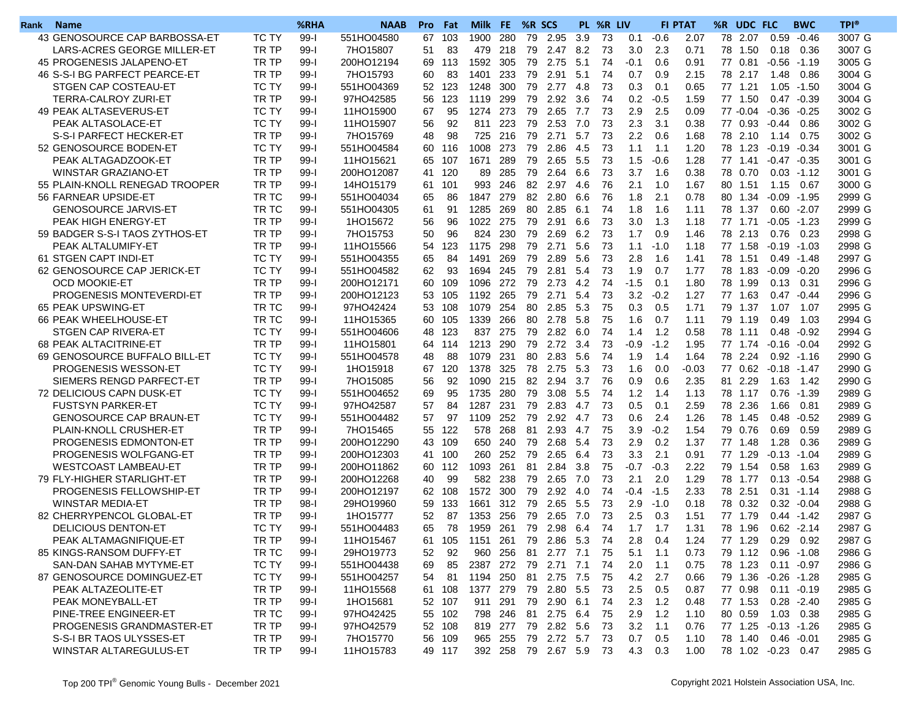| Rank | <b>Name</b>                    |              | %RHA     | <b>NAAB</b> | Pro | Fat    | Milk            | FE.  | %R SCS |                        |     | PL %R LIV |        |         | <b>FI PTAT</b> | %R<br>UDC FLC        |         | <b>BWC</b>     | <b>TPI®</b> |
|------|--------------------------------|--------------|----------|-------------|-----|--------|-----------------|------|--------|------------------------|-----|-----------|--------|---------|----------------|----------------------|---------|----------------|-------------|
|      | 43 GENOSOURCE CAP BARBOSSA-ET  | <b>TC TY</b> | $99-1$   | 551HO04580  | 67  | 103    | 1900            | 280  | 79     | 2.95                   | 3.9 | 73        | 0.1    | $-0.6$  | 2.07           | 78 2.07              | 0.59    | $-0.46$        | 3007 G      |
|      | LARS-ACRES GEORGE MILLER-ET    | TR TP        | $99-I$   | 7HO15807    | 51  | 83     | 479             | 218  | 79     | 2.47 8.2               |     | -73       | 3.0    | 2.3     | 0.71           | 78 1.50              | 0.18    | 0.36           | 3007 G      |
|      | 45 PROGENESIS JALAPENO-ET      | TR TP        | $99-1$   | 200HO12194  | 69  | 113    | 1592            | 305  | 79     | 2.75                   | 5.1 | 74        | $-0.1$ | 0.6     | 0.91           | 77 0.81              | $-0.56$ | $-1.19$        | 3005 G      |
|      | 46 S-S-I BG PARFECT PEARCE-ET  | TR TP        | $99 - 1$ | 7HO15793    | 60  | 83     | 1401            | 233  | 79     | 2.91                   | 5.1 | 74        | 0.7    | 0.9     | 2.15           | 78 2.17              | 1.48    | 0.86           | 3004 G      |
|      | STGEN CAP COSTEAU-ET           | TC TY        | $99-I$   | 551HO04369  | 52  | 123    | 1248            | 300  | 79     | 2.77                   | 4.8 | 73        | 0.3    | 0.1     | 0.65           | 77 1.21              | 1.05    | $-1.50$        | 3004 G      |
|      | TERRA-CALROY ZURI-ET           | TR TP        | $99-I$   | 97HO42585   | 56  | 123    | 1119            | 299  | 79     | 2.92                   | 3.6 | 74        | 0.2    | $-0.5$  | 1.59           | 77 1.50              |         | $0.47 - 0.39$  | 3004 G      |
|      | 49 PEAK ALTASEVERUS-ET         | <b>TC TY</b> | $99-I$   | 11HO15900   | 67  | 95     | 1274            | 273  | 79     | 2.65                   | 7.7 | 73        | 2.9    | 2.5     | 0.09           | 77 -0.04             | $-0.36$ | $-0.25$        | 3002 G      |
|      | PEAK ALTASOLACE-ET             | <b>TC TY</b> | $99-I$   | 11HO15907   | 56  | 92     | 811             | 223  | 79     | 2.53                   | 7.0 | 73        | 2.3    | 3.1     | 0.38           | 77 0.93              | $-0.44$ | 0.86           | 3002 G      |
|      | S-S-I PARFECT HECKER-ET        | TR TP        | $99-I$   | 7HO15769    | 48  | 98     | 725             | 216  | 79     | 2.71                   | 5.7 | 73        | 2.2    | 0.6     | 1.68           | 78 2.10              | 1.14    | 0.75           | 3002 G      |
|      | 52 GENOSOURCE BODEN-ET         | TC TY        | $99-I$   | 551HO04584  | 60  | 116    | 1008            | 273  | 79     | 2.86                   | 4.5 | 73        | 1.1    | 1.1     | 1.20           | 78 1.23              | -0.19   | $-0.34$        | 3001 G      |
|      | PEAK ALTAGADZOOK-ET            | TR TP        | $99-I$   | 11HO15621   | 65  | 107    | 1671            | 289  | 79     | 2.65                   | 5.5 | 73        | 1.5    | $-0.6$  | 1.28           | 77 1.41              | -0.47   | $-0.35$        | 3001 G      |
|      | <b>WINSTAR GRAZIANO-ET</b>     | TR TP        | $99 - 1$ | 200HO12087  | 41  | 120    | 89              | 285  | 79     | 2.64                   | 6.6 | 73        | 3.7    | 1.6     | 0.38           | 78 0.70              | 0.03    | $-1.12$        | 3001 G      |
|      | 55 PLAIN-KNOLL RENEGAD TROOPER | TR TP        | $99-I$   | 14HO15179   | 61  | 101    | 993             | 246  |        | 82 2.97                | 4.6 | 76        | 2.1    | 1.0     | 1.67           | 80 1.51              | 1.15    | 0.67           | 3000 G      |
|      | 56 FARNEAR UPSIDE-ET           | TR TC        | $99-I$   | 551HO04034  | 65  | 86     | 1847            | -279 | 82     | 2.80                   | 6.6 | 76        | 1.8    | 2.1     | 0.78           | 80 1.34              | $-0.09$ | $-1.95$        | 2999 G      |
|      | <b>GENOSOURCE JARVIS-ET</b>    | TR TC        | $99 - 1$ | 551HO04305  | 61  | 91     | 1285            | 269  | 80     | 2.85                   | 6.1 | 74        | 1.8    | 1.6     | 1.11           | 78 1.37              | 0.60    | -2.07          | 2999 G      |
|      | PEAK HIGH ENERGY-ET            | TR TP        | $99-I$   | 1HO15672    | 56  | 96     | 1022            | 275  | 79     | 2.91                   | 6.6 | 73        | 3.0    | 1.3     | 1.18           | 77<br>1.71           | $-0.05$ | $-1.23$        | 2999 G      |
|      | 59 BADGER S-S-I TAOS ZYTHOS-ET | TR TP        | $99-I$   | 7HO15753    | 50  | 96     | 824             | 230  | 79     | 2.69                   | 6.2 | 73        | 1.7    | 0.9     | 1.46           | 78 2.13              | 0.76    | 0.23           | 2998 G      |
|      | PEAK ALTALUMIFY-ET             | TR TP        | $99-I$   | 11HO15566   | 54  | 123    | 1175            | 298  | 79     | 2.71                   | 5.6 | 73        | 1.1    | $-1.0$  | 1.18           | 77 1.58              |         | $-0.19 - 1.03$ | 2998 G      |
|      | 61 STGEN CAPT INDI-ET          | <b>TC TY</b> | $99-1$   | 551HO04355  | 65  | 84     | 1491            | 269  | 79     | 2.89                   | 5.6 | 73        | 2.8    | 1.6     | 1.41           | 78<br>1.51           | 0.49    | $-1.48$        | 2997 G      |
|      | 62 GENOSOURCE CAP JERICK-ET    | <b>TC TY</b> | $99-1$   | 551HO04582  | 62  | 93     | 1694            | 245  | 79     | 2.81                   | 5.4 | 73        | 1.9    | 0.7     | 1.77           | 78<br>1.83           | $-0.09$ | $-0.20$        | 2996 G      |
|      | <b>OCD MOOKIE-ET</b>           | TR TP        | $99-I$   | 200HO12171  | 60  | 109    | 1096            | 272  | 79     | 2.73                   | 4.2 | 74        | $-1.5$ | 0.1     | 1.80           | 78 1.99              | 0.13    | 0.31           | 2996 G      |
|      | PROGENESIS MONTEVERDI-ET       | TR TP        | $99-1$   | 200HO12123  | 53  | 105    | 1192            | 265  | 79     | 2.71                   | 5.4 | 73        | 3.2    | $-0.2$  | 1.27           | 77 1.63              | 0.47    | $-0.44$        | 2996 G      |
|      | 65 PEAK UPSWING-ET             | TR TC        | $99-1$   | 97HO42424   | 53  | 108    | 1079            | 254  | 80     | 2.85                   | 5.3 | 75        | 0.3    | 0.5     | 1.71           | 79 1.37              | 1.07    | 1.07           | 2995 G      |
|      | 66 PEAK WHEELHOUSE-ET          | TR TC        | $99-1$   | 11HO15365   | 60  | 105    | 1339            | 266  | 80     | 2.78                   | 5.8 | 75        | 1.6    | 0.7     | 1.11           | 79<br>1.19           | 0.49    | 1.03           | 2994 G      |
|      | STGEN CAP RIVERA-ET            | <b>TC TY</b> | $99-1$   | 551HO04606  | 48  | 123    | 837             | 275  | 79     | 2.82                   | 6.0 | 74        | 1.4    | 1.2     | 0.58           | 78<br>1.11           | 0.48    | $-0.92$        | 2994 G      |
|      | 68 PEAK ALTACITRINE-ET         | TR TP        | $99-I$   | 11HO15801   | 64  | 114    | 1213            | 290  | 79     | 2.72                   | 3.4 | 73        | -0.9   | $-1.2$  | 1.95           | 77 1.74              | $-0.16$ | $-0.04$        | 2992 G      |
|      | 69 GENOSOURCE BUFFALO BILL-ET  | <b>TC TY</b> | $99-I$   | 551HO04578  | 48  | 88     | 1079            | 231  | 80     | 2.83                   | 5.6 | 74        | 1.9    | 1.4     | 1.64           | 78 2.24              |         | $0.92 - 1.16$  | 2990 G      |
|      | PROGENESIS WESSON-ET           | <b>TC TY</b> | $99-1$   | 1HO15918    | 67  | 120    | 1378            | 325  | 78     | 2.75                   | 5.3 | 73        | 1.6    | 0.0     | $-0.03$        | 77 0.62              | $-0.18$ | -1.47          | 2990 G      |
|      | SIEMERS RENGD PARFECT-ET       | TR TP        | $99-I$   | 7HO15085    | 56  | 92     | 1090            | 215  | 82     | 2.94                   | 3.7 | 76        | 0.9    | 0.6     | 2.35           | 81 2.29              | 1.63    | 1.42           | 2990 G      |
|      | 72 DELICIOUS CAPN DUSK-ET      | <b>TC TY</b> | $99-I$   | 551HO04652  | 69  | 95     | 1735            | 280  | 79     | 3.08                   | 5.5 | 74        | 1.2    | 1.4     | 1.13           | 78 1.17              | 0.76    | $-1.39$        | 2989 G      |
|      | <b>FUSTSYN PARKER-ET</b>       | <b>TC TY</b> | $99-I$   | 97HO42587   | 57  | 84     | 1287            | 231  | 79     | 2.83                   | 4.7 | 73        | 0.5    | 0.1     | 2.59           | 78 2.36              | 1.66    | 0.81           | 2989 G      |
|      | <b>GENOSOURCE CAP BRAUN-ET</b> | <b>TC TY</b> | $99-I$   | 551HO04482  | 57  | 97     | 1109            | 252  | 79     | 2.92                   | 4.7 | 73        | 0.6    | 2.4     | 1.26           | 78<br>1.45           | 0.48    | $-0.52$        | 2989 G      |
|      | PLAIN-KNOLL CRUSHER-ET         | TR TP        | $99-I$   | 7HO15465    | 55  | 122    | 578             | 268  | 81     | 2.93                   | 4.7 | 75        | 3.9    | $-0.2$  | 1.54           | 79<br>0.76           | 0.69    | 0.59           | 2989 G      |
|      | <b>PROGENESIS EDMONTON-ET</b>  | TR TP        | $99-I$   | 200HO12290  | 43  | 109    | 650             | 240  | 79     | 2.68                   | 5.4 | 73        | 2.9    | 0.2     | 1.37           | 77 1.48              | 1.28    | 0.36           | 2989 G      |
|      | PROGENESIS WOLFGANG-ET         | TR TP        | $99-I$   | 200HO12303  | 41  | 100    | 260             | 252  | 79     | 2.65                   | 6.4 | 73        | 3.3    | 2.1     | 0.91           | 77 1.29              | $-0.13$ | $-1.04$        | 2989 G      |
|      | <b>WESTCOAST LAMBEAU-ET</b>    | TR TP        | $99-1$   | 200HO11862  | 60  | 112    | 1093            | 261  | 81     | 2.84                   | 3.8 | 75        | $-0.7$ | $-0.3$  | 2.22           | 79<br>1.54           | 0.58    | 1.63           | 2989 G      |
|      | 79 FLY-HIGHER STARLIGHT-ET     | TR TP        | $99 - 1$ | 200HO12268  | 40  | 99     | 582             | 238  | 79     | 2.65                   | 7.0 | 73        | 2.1    | 2.0     | 1.29           | 78<br>1.77           | 0.13    | $-0.54$        | 2988 G      |
|      | PROGENESIS FELLOWSHIP-ET       | TR TP        | $99-1$   | 200HO12197  | 62  | 108    | 1572            | 300  | 79     | 2.92                   | 4.0 | 74        | $-0.4$ | $-1.5$  | 2.33           | 78 2.51              | 0.31    | $-1.14$        | 2988 G      |
|      | <b>WINSTAR MEDIA-ET</b>        | TR TP        | $98-I$   | 29HO19960   | 59  | 133    | 1661            | 312  | 79     | 2.65                   | 5.5 | 73        | 2.9    | $-1.0$  | 0.18           | 78 0.32              |         | $0.32 - 0.04$  | 2988 G      |
|      | 82 CHERRYPENCOL GLOBAL-ET      | TR TP        | $99 - 1$ | 1HO15777    | 52  | 87     | 1353            | 256  | 79     | 2.65                   | 7.0 | 73        | 2.5    | 0.3     | 1.51           | 77 1.79              |         | $0.44 - 1.42$  | 2987 G      |
|      | <b>DELICIOUS DENTON-ET</b>     | TC TY        | $99 - 1$ | 551HO04483  | 65  | 78     | 1959            | 261  | 79     | 2.98                   | 6.4 | 74        | 1.7    | 1.7     | 1.31           | 78 1.96              |         | $0.62 -2.14$   | 2987 G      |
|      | PEAK ALTAMAGNIFIQUE-ET         | TR TP        | 99-1     | 11HO15467   |     |        | 61 105 1151 261 |      |        | 79 2.86 5.3 74         |     |           | 2.8    | 0.4     | 1.24           | 77 1.29              | 0.29    | 0.92           | 2987 G      |
|      | 85 KINGS-RANSOM DUFFY-ET       | TR TC        | 99-l     | 29HO19773   | 52  | 92     |                 |      |        | 960 256 81 2.77 7.1 75 |     |           | 5.1    | 1.1     | 0.73           | 79 1.12 0.96 -1.08   |         |                | 2986 G      |
|      | SAN-DAN SAHAB MYTYME-ET        | TC TY        | 99-l     | 551HO04438  | 69  | 85     | 2387 272        |      |        |                        |     | - 74      | 2.0    | 1.1     | 0.75           | 78 1.23              |         | $0.11 - 0.97$  | 2986 G      |
|      | 87 GENOSOURCE DOMINGUEZ-ET     | TC TY        | $99-1$   | 551HO04257  | 54  | -81    | 1194 250        |      |        | 81 2.75 7.5            |     | -75       | 4.2    | 2.7     | 0.66           | 79 1.36 -0.26 -1.28  |         |                | 2985 G      |
|      | PEAK ALTAZEOLITE-ET            | TR TP        | 99-l     | 11HO15568   |     | 61 108 | 1377 279        |      |        | 79 2.80 5.5            |     | - 73      | 2.5    | 0.5     | 0.87           | 77 0.98              |         | $0.11 - 0.19$  | 2985 G      |
|      | PEAK MONEYBALL-ET              | TR TP        | 99-l     | 1HO15681    |     | 52 107 | 911 291         |      |        | 79 2.90 6.1            |     | - 74      | 2.3    | 1.2     | 0.48           | 77 1.53              |         | $0.28 - 2.40$  | 2985 G      |
|      | PINE-TREE ENGINEER-ET          | TR TC        | 99-l     | 97HO42425   |     | 55 102 | 798 246         |      |        | 81 2.75 6.4 75         |     |           | 2.9    | 1.2     | 1.10           | 80  0.59  1.03  0.38 |         |                | 2985 G      |
|      | PROGENESIS GRANDMASTER-ET      | TR TP        | 99-l     | 97HO42579   | 52  | 108    | 819 277         |      |        | 79 2.82 5.6            |     | -73       | 3.2    | 1.1     | 0.76           | 77 1.25 -0.13 -1.26  |         |                | 2985 G      |
|      | S-S-I BR TAOS ULYSSES-ET       | TR TP        | $99-I$   | 7HO15770    |     | 56 109 | 965 255         |      |        | 79 2.72 5.7 73         |     |           | 0.7    | 0.5     | 1.10           | 78 1.40              |         | $0.46 - 0.01$  | 2985 G      |
|      | WINSTAR ALTAREGULUS-ET         | TR TP        | 99-l     | 11HO15783   |     | 49 117 |                 |      |        | 392 258 79 2.67 5.9 73 |     |           |        | 4.3 0.3 | 1.00           | 78 1.02 -0.23 0.47   |         |                | 2985 G      |
|      |                                |              |          |             |     |        |                 |      |        |                        |     |           |        |         |                |                      |         |                |             |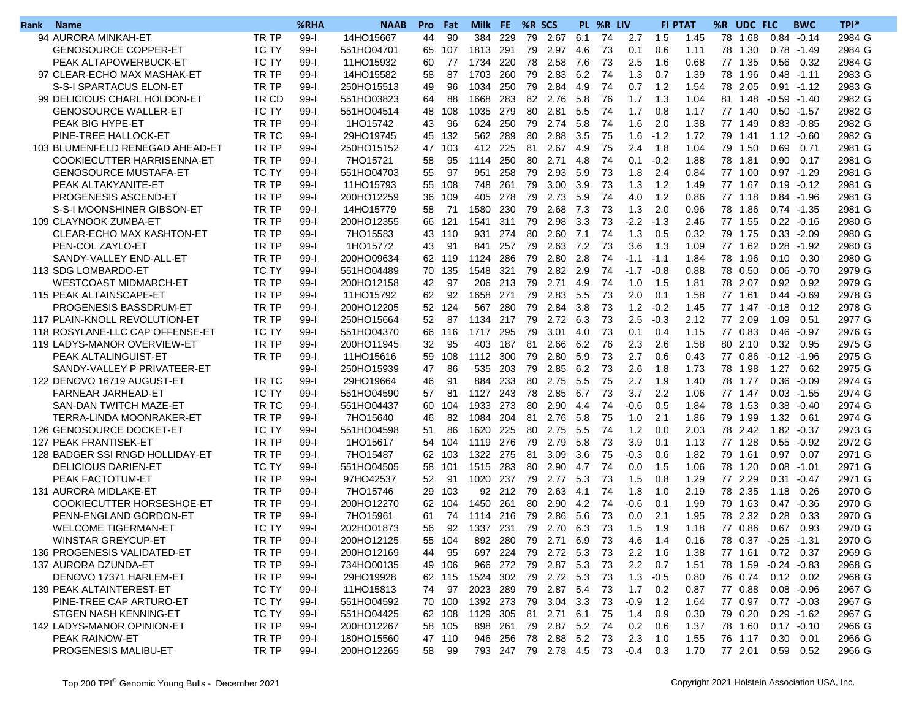| Rank | <b>Name</b>                       |              | %RHA     | <b>NAAB</b> | Pro | Fat    | <b>Milk</b> | FE.     | %R SCS |                        |      | PL %R LIV |               |        | <b>FI PTAT</b> | %R<br>UDC FLC       |      | <b>BWC</b>     | <b>TPI®</b> |
|------|-----------------------------------|--------------|----------|-------------|-----|--------|-------------|---------|--------|------------------------|------|-----------|---------------|--------|----------------|---------------------|------|----------------|-------------|
|      | 94 AURORA MINKAH-ET               | TR TP        | $99-1$   | 14HO15667   | 44  | 90     | 384         | 229     | 79     | 2.67                   | 6.1  | 74        | 2.7           | 1.5    | 1.45           | 78<br>1.68          | 0.84 | $-0.14$        | 2984 G      |
|      | <b>GENOSOURCE COPPER-ET</b>       | TC TY        | $99 - 1$ | 551HO04701  | 65  | 107    | 1813        | 291     | 79     | 2.97                   | -4.6 | 73        | 0.1           | 0.6    | 1.11           | 78 1.30             | 0.78 | -1.49          | 2984 G      |
|      | PEAK ALTAPOWERBUCK-ET             | <b>TC TY</b> | $99 - 1$ | 11HO15932   | 60  | 77     | 1734        | 220     | 78     | 2.58                   | 7.6  | 73        | 2.5           | 1.6    | 0.68           | 77 1.35             | 0.56 | 0.32           | 2984 G      |
|      | 97 CLEAR-ECHO MAX MASHAK-ET       | TR TP        | $99 - 1$ | 14HO15582   | 58  | 87     | 1703        | 260     | 79     | 2.83                   | 6.2  | 74        | 1.3           | 0.7    | 1.39           | 78<br>1.96          | 0.48 | $-1.11$        | 2983 G      |
|      | S-S-I SPARTACUS ELON-ET           | TR TP        | $99 - 1$ | 250HO15513  | 49  | 96     | 1034        | 250     | 79     | 2.84                   | 4.9  | 74        | 0.7           | 1.2    | 1.54           | 78 2.05             |      | $0.91 - 1.12$  | 2983 G      |
|      | 99 DELICIOUS CHARL HOLDON-ET      | TR CD        | $99 - 1$ | 551HO03823  | 64  | 88     | 1668        | 283     | 82     | 2.76                   | -5.8 | 76        | 1.7           | 1.3    | 1.04           | 81 1.48             |      | $-0.59 - 1.40$ | 2982 G      |
|      | <b>GENOSOURCE WALLER-ET</b>       | TC TY        | $99 - 1$ | 551HO04514  | 48  | 108    | 1035        | 279     | 80     | 2.81                   | 5.5  | 74        | 1.7           | 0.8    | 1.17           | 77 1.40             |      | $0.50 - 1.57$  | 2982 G      |
|      | PEAK BIG HYPE-ET                  | TR TP        | $99 - 1$ | 1HO15742    | 43  | 96     | 624         | 250     | 79     | 2.74                   | 5.8  | 74        | 1.6           | 2.0    | 1.38           | 77<br>1.49          | 0.83 | $-0.85$        | 2982 G      |
|      | PINE-TREE HALLOCK-ET              | TR TC        | $99 - 1$ | 29HO19745   | 45  | 132    | 562         | 289     | 80     | 2.88                   | 3.5  | 75        | 1.6           | $-1.2$ | 1.72           | 79<br>1.41          | 1.12 | $-0.60$        | 2982 G      |
|      | 103 BLUMENFELD RENEGAD AHEAD-ET   | TR TP        | $99 - 1$ | 250HO15152  | 47  | 103    | 412 225     |         | 81     | 2.67                   | 4.9  | 75        | 2.4           | 1.8    | 1.04           | 79 1.50             | 0.69 | 0.71           | 2981 G      |
|      | <b>COOKIECUTTER HARRISENNA-ET</b> | TR TP        | $99-1$   | 7HO15721    | 58  | 95     | 1114        | 250     | 80     | 2.71                   | 4.8  | 74        | 0.1           | $-0.2$ | 1.88           | 78 1.81             | 0.90 | 0.17           | 2981 G      |
|      | <b>GENOSOURCE MUSTAFA-ET</b>      | <b>TC TY</b> | $99-1$   | 551HO04703  | 55  | 97     | 951         | 258     | 79     | 2.93                   | 5.9  | 73        | 1.8           | 2.4    | 0.84           | 77 1.00             | 0.97 | $-1.29$        | 2981 G      |
|      | PEAK ALTAKYANITE-ET               | TR TP        | $99 - 1$ | 11HO15793   | 55  | 108    | 748         | 261     | 79     | 3.00                   | 3.9  | 73        | 1.3           | 1.2    | 1.49           | 77 1.67             | 0.19 | $-0.12$        | 2981 G      |
|      | PROGENESIS ASCEND-ET              | TR TP        | $99 - 1$ | 200HO12259  | 36  | 109    | 405         | 278     | 79     | 2.73                   | 5.9  | 74        | 4.0           | 1.2    | 0.86           | 77 1.18             |      | $0.84 - 1.96$  | 2981 G      |
|      | S-S-I MOONSHINER GIBSON-ET        | TR TP        | $99 - 1$ | 14HO15779   | 58  | 71     | 1580        | 230     | 79     | 2.68                   | 7.3  | -73       | 1.3           | 2.0    | 0.96           | 78 1.86             |      | $0.74 - 1.35$  | 2981 G      |
|      | 109 CLAYNOOK ZUMBA-ET             | TR TP        | $99-1$   | 200HO12355  | 66  | 121    | 1541        | 311     | 79     | 2.98                   | 3.3  | 73        | $-2.2$        | $-1.3$ | 2.46           | 77 1.55             | 0.22 | $-0.16$        | 2980 G      |
|      | CLEAR-ECHO MAX KASHTON-ET         | TR TP        | $99 - 1$ | 7HO15583    | 43  | 110    | 931         | 274     | 80     | 2.60                   | 7.1  | 74        | 1.3           | 0.5    | 0.32           | 79<br>1.75          | 0.33 | $-2.09$        | 2980 G      |
|      | PEN-COL ZAYLO-ET                  | TR TP        | $99-I$   | 1HO15772    | 43  | 91     | 841         | 257     | 79     | 2.63                   | 7.2  | 73        | 3.6           | 1.3    | 1.09           | 77 1.62             | 0.28 | $-1.92$        | 2980 G      |
|      | SANDY-VALLEY END-ALL-ET           | TR TP        | $99 - 1$ | 200HO09634  | 62  | 119    | 1124        | 286     | 79     | 2.80                   | 2.8  | 74        | $-1.1$        | $-1.1$ | 1.84           | 78 1.96             | 0.10 | 0.30           | 2980 G      |
|      | 113 SDG LOMBARDO-ET               | <b>TC TY</b> | $99-I$   | 551HO04489  | 70  | 135    | 1548        | 321     | 79     | 2.82                   | 2.9  | 74        | $-1.7$        | $-0.8$ | 0.88           | 78 0.50             | 0.06 | $-0.70$        | 2979 G      |
|      | <b>WESTCOAST MIDMARCH-ET</b>      | TR TP        | $99 - 1$ | 200HO12158  | 42  | 97     | 206         | 213     | 79     | 2.71                   | 4.9  | 74        | 1.0           | 1.5    | 1.81           | 78<br>2.07          | 0.92 | 0.92           | 2979 G      |
|      | 115 PEAK ALTAINSCAPE-ET           | TR TP        | $99-1$   | 11HO15792   | 62  | 92     | 1658        | 271     | 79     | 2.83                   | 5.5  | 73        | 2.0           | 0.1    | 1.58           | 77 1.61             | 0.44 | $-0.69$        | 2978 G      |
|      | PROGENESIS BASSDRUM-ET            | TR TP        | $99-I$   | 200HO12205  | 52  | 124    | 567         | 280     | 79     | 2.84 3.8               |      | 73        | 1.2           | $-0.2$ | 1.45           | 77 1.47 -0.18       |      | 0.12           | 2978 G      |
|      | 117 PLAIN-KNOLL REVOLUTION-ET     | TR TP        | $99-1$   | 250HO15664  | 52  | 87     | 1134        | 217     | 79     | 2.72                   | 6.3  | 73        | 2.5           | $-0.3$ | 2.12           | 77 2.09             | 1.09 | 0.51           | 2977 G      |
|      | 118 ROSYLANE-LLC CAP OFFENSE-ET   | <b>TC TY</b> | $99 - 1$ | 551HO04370  | 66  | 116    | 1717        | 295     | 79     | 3.01                   | 4.0  | 73        | 0.1           | 0.4    | 1.15           | 77 0.83             | 0.46 | $-0.97$        | 2976 G      |
|      | 119 LADYS-MANOR OVERVIEW-ET       | TR TP        | $99-I$   | 200HO11945  | 32  | 95     | 403         | 187     | 81     | 2.66                   | 6.2  | 76        | 2.3           | 2.6    | 1.58           | 80 2.10             | 0.32 | 0.95           | 2975 G      |
|      | PEAK ALTALINGUIST-ET              | TR TP        | $99-I$   | 11HO15616   | 59  | 108    | 1112        | 300     | 79     | 2.80                   | 5.9  | 73        | 2.7           | 0.6    | 0.43           | 77 0.86             |      | $-0.12 -1.96$  | 2975 G      |
|      | SANDY-VALLEY P PRIVATEER-ET       |              | $99-1$   | 250HO15939  | 47  | 86     | 535         | 203     | 79     | 2.85                   | 6.2  | 73        | 2.6           | 1.8    | 1.73           | 78<br>1.98          | 1.27 | 0.62           | 2975 G      |
|      | 122 DENOVO 16719 AUGUST-ET        | TR TC        | $99-I$   | 29HO19664   | 46  | 91     | 884         | 233     | 80     | 2.75                   | 5.5  | 75        | 2.7           | 1.9    | 1.40           | 78<br>1.77          | 0.36 | $-0.09$        | 2974 G      |
|      | <b>FARNEAR JARHEAD-ET</b>         | <b>TC TY</b> | $99-1$   | 551HO04590  | 57  | 81     | 1127        | 243     | 78     | 2.85                   | 6.7  | 73        | 3.7           | 2.2    | 1.06           | 77 1.47             | 0.03 | $-1.55$        | 2974 G      |
|      | SAN-DAN TWITCH MAZE-ET            | TR TC        | $99-I$   | 551HO04437  | 60  | 104    | 1933        | 273     | 80     | 2.90                   | 4.4  | 74        | -0.6          | 0.5    | 1.84           | 78 1.53             | 0.38 | $-0.40$        | 2974 G      |
|      | TERRA-LINDA MOONRAKER-ET          | TR TP        | $99-1$   | 7HO15640    | 46  | 82     | 1084        | 204     | 81     | 2.76                   | 5.8  | 75        | 1.0           | 2.1    | 1.86           | 79 1.99             | 1.32 | 0.61           | 2974 G      |
|      | 126 GENOSOURCE DOCKET-ET          | <b>TC TY</b> | $99-1$   | 551HO04598  | 51  | 86     | 1620        | 225     | 80     | 2.75                   | 5.5  | 74        | 1.2           | 0.0    | 2.03           | 78 2.42             | 1.82 | $-0.37$        | 2973 G      |
|      | 127 PEAK FRANTISEK-ET             | TR TP        | $99-I$   | 1HO15617    | 54  | 104    | 1119        | 276     | 79     | 2.79                   | 5.8  | 73        | 3.9           | 0.1    | 1.13           | 77 1.28             | 0.55 | $-0.92$        | 2972 G      |
|      | 128 BADGER SSI RNGD HOLLIDAY-ET   | TR TP        | $99-I$   | 7HO15487    | 62  | 103    | 1322        | 275     | 81     | 3.09                   | 3.6  | 75        | $-0.3$        | 0.6    | 1.82           | 79 1.61             | 0.97 | 0.07           | 2971 G      |
|      | <b>DELICIOUS DARIEN-ET</b>        | <b>TC TY</b> | $99-1$   | 551HO04505  | 58  | 101    | 1515        | 283     | 80     | 2.90                   | 4.7  | 74        | 0.0           | 1.5    | 1.06           | 78 1.20             | 0.08 | $-1.01$        | 2971 G      |
|      | PEAK FACTOTUM-ET                  | TR TP        | $99-1$   | 97HO42537   | 52  | 91     | 1020        | 237     | 79     | 2.77                   | 5.3  | -73       | 1.5           | 0.8    | 1.29           | 77<br>2.29          | 0.31 | $-0.47$        | 2971 G      |
|      | 131 AURORA MIDLAKE-ET             | TR TP        | $99-I$   | 7HO15746    | 29  | 103    |             | 92 212  | 79     | 2.63                   | 4.1  | 74        | 1.8           | 1.0    | 2.19           | 78<br>2.35          | 1.18 | 0.26           | 2970 G      |
|      | COOKIECUTTER HORSESHOE-ET         | TR TP        | $99-I$   | 200HO12270  | 62  | 104    | 1450 261    |         | 80     | 2.90                   | 4.2  | 74        | -0.6          | 0.1    | 1.99           | 79 1.63             | 0.47 | $-0.36$        | 2970 G      |
|      | PENN-ENGLAND GORDON-ET            | TR TP        | $99-I$   | 7HO15961    | 61  | 74     | 1114 216    |         | 79     | 2.86                   | 5.6  | 73        | 0.0           | 2.1    | 1.95           | 78 2.32             | 0.28 | 0.33           | 2970 G      |
|      | <b>WELCOME TIGERMAN-ET</b>        | <b>TC TY</b> | $99-I$   | 202HO01873  | 56  | 92     | 1337        | 231     | 79     | 2.70                   | 6.3  | 73        | 1.5           | 1.9    | 1.18           | 77 0.86             | 0.67 | 0.93           | 2970 G      |
|      | WINSTAR GREYCUP-ET                | TR TP        | $99-I$   | 200HO12125  |     | 55 104 |             |         |        | 892 280 79 2.71 6.9 73 |      |           | 4.6 1.4       |        | 0.16           | 78 0.37 -0.25 -1.31 |      |                | 2970 G      |
|      | 136 PROGENESIS VALIDATED-ET       | TR TP        | 99-l     | 200HO12169  | 44  | 95     |             |         |        | 697 224 79 2.72 5.3 73 |      |           | $2.2^{\circ}$ | - 1.6  | 1.38           | 77 1.61 0.72 0.37   |      |                | 2969 G      |
|      | 137 AURORA DZUNDA-ET              | TR TP        | 99-l     | 734HO00135  |     | 49 106 |             |         |        | 966 272 79 2.87 5.3    |      | - 73      | $2.2^{\circ}$ | 0.7    | 1.51           | 78 1.59 -0.24 -0.83 |      |                | 2968 G      |
|      | DENOVO 17371 HARLEM-ET            | TR TP        | 99-l     | 29HO19928   |     | 62 115 | 1524 302    |         |        | 79 2.72 5.3            |      | -73       | 1.3           | $-0.5$ | 0.80           | 76 0.74             |      | $0.12$ 0.02    | 2968 G      |
|      | 139 PEAK ALTAINTEREST-ET          | TC TY        | 99-l     | 11HO15813   | 74  | 97     | 2023 289    |         |        | 79 2.87 5.4            |      | -73       | 1.7           | 0.2    | 0.87           | 77 0.88             |      | $0.08 - 0.96$  | 2967 G      |
|      | PINE-TREE CAP ARTURO-ET           | TC TY        | 99-l     | 551HO04592  |     | 70 100 | 1392 273    |         |        | 79 3.04 3.3            |      | - 73      | $-0.9$        | 1.2    | 1.64           | 77 0.97             |      | $0.77 - 0.03$  | 2967 G      |
|      | STGEN NASH KENNING-ET             | TC TY        | 99-l     | 551HO04425  |     | 62 108 | 1129 305    |         |        | 81 2.71 6.1 75         |      |           | 1.4           | 0.9    | 0.30           | 79 0.20             |      | $0.29 - 1.62$  | 2967 G      |
|      | 142 LADYS-MANOR OPINION-ET        | TR TP        | 99-l     | 200HO12267  | 58  | 105    | 898 261     |         |        | 79 2.87 5.2            |      | - 74      | 0.2           | 0.6    | 1.37           | 78 1.60             |      | $0.17 - 0.10$  | 2966 G      |
|      | <b>PEAK RAINOW-ET</b>             | TR TP        | 99-l     | 180HO15560  |     | 47 110 |             | 946 256 |        | 78  2.88  5.2  73      |      |           | 2.3           | 1.0    | 1.55           | 76 1.17             | 0.30 | 0.01           | 2966 G      |
|      | PROGENESIS MALIBU-ET              | TR TP        | 99-l     | 200HO12265  | 58  | 99     |             |         |        | 793 247 79 2.78 4.5    |      | 73        | -0.4          | 0.3    | 1.70           | 77 2.01             |      | $0.59$ 0.52    | 2966 G      |
|      |                                   |              |          |             |     |        |             |         |        |                        |      |           |               |        |                |                     |      |                |             |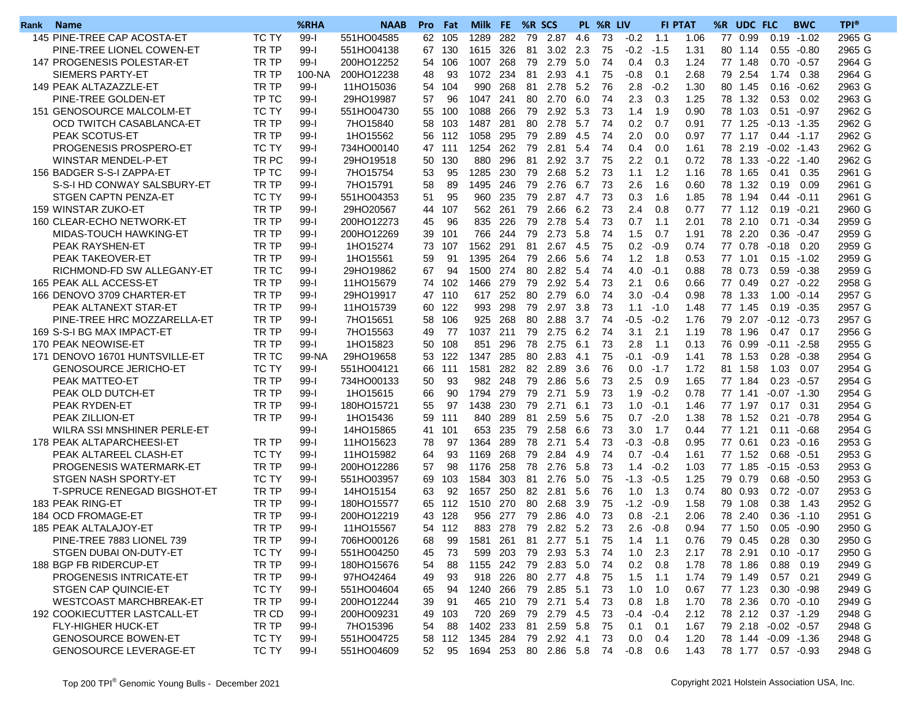| Rank | <b>Name</b>                        |              | %RHA            | <b>NAAB</b> | <b>Pro</b> | Fat | Milk     | FE.     | %R SCS |                         |      | PL %R LIV |                        |        | <b>FI PTAT</b> | %R<br>UDC FLC       |              | <b>BWC</b>     | <b>TPI®</b>      |
|------|------------------------------------|--------------|-----------------|-------------|------------|-----|----------|---------|--------|-------------------------|------|-----------|------------------------|--------|----------------|---------------------|--------------|----------------|------------------|
|      | 145 PINE-TREE CAP ACOSTA-ET        | TC TY        | $99-1$          | 551HO04585  | 62         | 105 | 1289     | 282     | 79     | 2.87                    | 4.6  | 73        | $-0.2$                 | 1.1    | 1.06           | 77 0.99             | 0.19         | $-1.02$        | 2965 G           |
|      | PINE-TREE LIONEL COWEN-ET          | TR TP        | $99-I$          | 551HO04138  | 67         | 130 | 1615     | 326     | 81     | 3.02                    | 2.3  | 75        | $-0.2$                 | $-1.5$ | 1.31           | 80 1.14             |              | $0.55 - 0.80$  | 2965 G           |
|      | 147 PROGENESIS POLESTAR-ET         | TR TP        | $99-I$          | 200HO12252  | 54         | 106 | 1007     | 268     | 79     | 2.79                    | 5.0  | 74        | 0.4                    | 0.3    | 1.24           | 77 1.48             | 0.70         | $-0.57$        | 2964 G           |
|      | SIEMERS PARTY-ET                   | TR TP        | 100-NA          | 200HO12238  | 48         | 93  | 1072     | 234     | 81     | 2.93                    | 4.1  | 75        | $-0.8$                 | 0.1    | 2.68           | 79<br>2.54          | 1.74         | 0.38           | 2964 G           |
|      | 149 PEAK ALTAZAZZLE-ET             | TR TP        | $99-I$          | 11HO15036   | 54         | 104 | 990      | 268     |        | 81 2.78                 | 5.2  | 76        | 2.8                    | $-0.2$ | 1.30           | 80 1.45             | 0.16         | $-0.62$        | 2963 G           |
|      | PINE-TREE GOLDEN-ET                | TP TC        | $99-I$          | 29HO19987   | 57         | 96  | 1047 241 |         |        | 80 2.70                 | 6.0  | 74        | 2.3                    | 0.3    | 1.25           | 78 1.32             | 0.53         | 0.02           | 2963 G           |
|      | 151 GENOSOURCE MALCOLM-ET          | <b>TC TY</b> | $99-1$          | 551HO04730  | 55         | 100 | 1088     | 266     | 79     | 2.92                    | 5.3  | 73        | 1.4                    | 1.9    | 0.90           | 78<br>1.03          | 0.51         | $-0.97$        | 2962 G           |
|      | OCD TWITCH CASABLANCA-ET           | TR TP        | $99-I$          | 7HO15840    | 58         | 103 | 1487     | 281     | 80     | 2.78                    | 5.7  | 74        | 0.2                    | 0.7    | 0.91           | 77 1.25             |              | $-0.13 - 1.35$ | 2962 G           |
|      | PEAK SCOTUS-ET                     | TR TP        | $99-I$          | 1HO15562    | 56         | 112 | 1058     | 295     | 79     | 2.89                    | 4.5  | 74        | 2.0                    | 0.0    | 0.97           | 77 1.17             |              | $0.44 - 1.17$  | 2962 G           |
|      | PROGENESIS PROSPERO-ET             | TC TY        | $99-I$          | 734HO00140  | 47         | 111 | 1254     | 262     | 79     | 2.81                    | 5.4  | 74        | 0.4                    | 0.0    | 1.61           | 78 2.19             |              | $-0.02 -1.43$  | 2962 G           |
|      | WINSTAR MENDEL-P-ET                | TR PC        | $99-1$          | 29HO19518   | 50         | 130 | 880      | 296     | 81     | 2.92                    | 3.7  | 75        | 2.2                    | 0.1    | 0.72           | 78 1.33             | $-0.22$      | $-1.40$        | 2962 G           |
|      | 156 BADGER S-S-I ZAPPA-ET          | TP TC        | $99-I$          | 7HO15754    | 53         | 95  | 1285     | 230     | 79     | 2.68                    | 5.2  | 73        | 1.1                    | 1.2    | 1.16           | 78<br>1.65          | 0.41         | 0.35           | 2961 G           |
|      | S-S-I HD CONWAY SALSBURY-ET        | TR TP        | $99-I$          | 7HO15791    | 58         | 89  | 1495     | 246     | 79     | 2.76                    | 6.7  | 73        | 2.6                    | 1.6    | 0.60           | 78 1.32             | 0.19         | 0.09           | 2961 G           |
|      | STGEN CAPTN PENZA-ET               | TC TY        | $99-I$          | 551HO04353  | 51         | 95  | 960      | 235     | 79     | 2.87                    | 4.7  | 73        | 0.3                    | 1.6    | 1.85           | 78 1.94             | 0.44         | $-0.11$        | 2961 G           |
|      | 159 WINSTAR ZUKO-ET                | TR TP        | $99-1$          | 29HO20567   | 44         | 107 | 562      | 261     | 79     | 2.66                    | 6.2  | 73        | 2.4                    | 0.8    | 0.77           | 77 1.12             | 0.19         | $-0.21$        | 2960 G           |
|      | 160 CLEAR-ECHO NETWORK-ET          | TR TP        | $99-1$          | 200HO12273  | 45         | 96  | 835      | 226     | 79     | 2.78                    | 5.4  | 73        | 0.7                    | 1.1    | 2.01           | 78 2.10             | 0.71         | $-0.34$        | 2959 G           |
|      | MIDAS-TOUCH HAWKING-ET             | TR TP        | $99-I$          | 200HO12269  | 39         | 101 | 766      | 244     | 79     | 2.73                    | 5.8  | 74        | 1.5                    | 0.7    | 1.91           | 78 2.20             | 0.36         | $-0.47$        | 2959 G           |
|      | PEAK RAYSHEN-ET                    | TR TP        | $99-I$          | 1HO15274    | 73         | 107 | 1562     | 291     | 81     | 2.67                    | 4.5  | 75        | 0.2                    | $-0.9$ | 0.74           | 77 0.78             | $-0.18$      | 0.20           | 2959 G           |
|      | PEAK TAKEOVER-ET                   | TR TP        | $99-1$          | 1HO15561    | 59         | 91  | 1395 264 |         | 79     | 2.66                    | 5.6  | 74        | 1.2                    | 1.8    | 0.53           | 77 1.01             | 0.15         | $-1.02$        | 2959 G           |
|      | RICHMOND-FD SW ALLEGANY-ET         | TR TC        | $99-1$          | 29HO19862   | 67         | 94  | 1500     | 274     | 80     | 2.82                    | 5.4  | 74        | 4.0                    | $-0.1$ | 0.88           | 78 0.73             | 0.59         | $-0.38$        | 2959 G           |
|      | 165 PEAK ALL ACCESS-ET             | TR TP        | $99-I$          | 11HO15679   | 74         | 102 | 1466     | 279     | 79     | 2.92                    | 5.4  | 73        | 2.1                    | 0.6    | 0.66           | 77 0.49             |              | $0.27 - 0.22$  | 2958 G           |
|      | 166 DENOVO 3709 CHARTER-ET         | TR TP        | $99-I$          | 29HO19917   | 47         | 110 | 617 252  |         | 80     | 2.79                    | 6.0  | 74        | 3.0                    | $-0.4$ | 0.98           | 78 1.33             | 1.00         | $-0.14$        | 2957 G           |
|      | PEAK ALTANEXT STAR-ET              | TR TP        | $99-I$          | 11HO15739   | 60         | 122 | 993      | 298     | 79     | 2.97 3.8                |      | 73        | 1.1                    | $-1.0$ | 1.48           | 77 1.45             |              | $0.19 - 0.35$  | 2957 G           |
|      | PINE-TREE HRC MOZZARELLA-ET        | TR TP        | $99-1$          | 7HO15651    | 58         | 106 | 925      | 268     | 80     | 2.88                    | 3.7  | 74        | $-0.5$                 | $-0.2$ | 1.76           | 79 2.07             | $-0.12$      | -0.73          | 2957 G           |
|      | 169 S-S-I BG MAX IMPACT-ET         | TR TP        | $99 - 1$        | 7HO15563    | 49         | 77  | 1037     | 211     | 79     | 2.75                    | 6.2  | 74        | 3.1                    | 2.1    | 1.19           | 78<br>1.96          | 0.47         | 0.17           | 2956 G           |
|      | 170 PEAK NEOWISE-ET                | TR TP        | $99 - 1$        | 1HO15823    | 50         | 108 | 851      | 296     | 78     | 2.75                    | 6.1  | 73        | 2.8                    | 1.1    | 0.13           | 76 0.99             | $-0.11$      | $-2.58$        | 2955 G           |
|      | 171 DENOVO 16701 HUNTSVILLE-ET     | TR TC        | 99-NA           | 29HO19658   | 53         | 122 | 1347     | 285     | 80     | 2.83                    | -4.1 | 75        | $-0.1$                 | $-0.9$ | 1.41           | 78 1.53             | 0.28         | $-0.38$        | 2954 G           |
|      | <b>GENOSOURCE JERICHO-ET</b>       | <b>TC TY</b> | $99 - 1$        | 551HO04121  | 66         | 111 | 1581     | 282     | 82     | 2.89                    | 3.6  | 76        | 0.0                    | $-1.7$ | 1.72           | 81<br>1.58          | 1.03         | 0.07           | 2954 G           |
|      | PEAK MATTEO-ET                     | TR TP        | $99 - 1$        | 734HO00133  | 50         | 93  |          | 982 248 | 79     | 2.86                    | 5.6  | 73        | 2.5                    | 0.9    | 1.65           | 77 1.84             | 0.23         | $-0.57$        | 2954 G           |
|      | PEAK OLD DUTCH-ET                  | TR TP        | $99 - 1$        | 1HO15615    | 66         | 90  | 1794     | 279     | 79     | 2.71                    | 5.9  | 73        | 1.9                    | $-0.2$ | 0.78           | 77 1.41             |              | $-0.07 -1.30$  | 2954 G           |
|      | PEAK RYDEN-ET                      | TR TP        | $99-I$          | 180HO15721  | 55         | 97  | 1438     | 230     | 79     | 2.71                    | 6.1  | 73        | 1.0                    | $-0.1$ | 1.46           | 77 1.97             |              | $0.17$ 0.31    | 2954 G           |
|      | PEAK ZILLION-ET                    | TR TP        | $99-1$          | 1HO15436    | 59         | 111 | 840      | 289     | 81     | 2.59                    | 5.6  | 75        | 0.7                    | $-2.0$ | 1.38           | 78 1.52             | 0.21         | $-0.78$        | 2954 G           |
|      | WILRA SSI MNSHINER PERLE-ET        |              | $99-1$          | 14HO15865   | 41         | 101 | 653      | 235     | 79     | 2.58                    | 6.6  | 73        | 3.0                    | 1.7    | 0.44           | 77<br>1.21          | 0.11         | $-0.68$        | 2954 G           |
|      | 178 PEAK ALTAPARCHEESI-ET          | TR TP        | $99 - 1$        | 11HO15623   | 78         | 97  | 1364     | 289     | 78     | 2.71                    | 5.4  | 73        | -0.3                   | $-0.8$ | 0.95           | 77 0.61             | 0.23         | $-0.16$        | 2953 G           |
|      | PEAK ALTAREEL CLASH-ET             | TC TY        | $99-I$          | 11HO15982   | 64         | 93  | 1169     | 268     | 79     | 2.84                    | 4.9  | 74        | 0.7                    | $-0.4$ | 1.61           | 77 1.52             | 0.68         | $-0.51$        | 2953 G           |
|      | PROGENESIS WATERMARK-ET            | TR TP        | $99-1$          | 200HO12286  | 57         | 98  | 1176     | 258     | 78     | 2.76                    | 5.8  | 73        | 1.4                    | $-0.2$ | 1.03           | 77 1.85             | $-0.15$      | $-0.53$        | 2953 G           |
|      | STGEN NASH SPORTY-ET               | TC TY        | $99 - 1$        | 551HO03957  | 69         | 103 | 1584     | 303     | 81     | 2.76                    | 5.0  | 75        | $-1.3$                 | $-0.5$ | 1.25           | 79<br>0.79          | 0.68         | $-0.50$        | 2953 G           |
|      | <b>T-SPRUCE RENEGAD BIGSHOT-ET</b> | TR TP        | $99 - 1$        | 14HO15154   | 63         | 92  | 1657     | 250     | 82     | 2.81                    | 5.6  | 76        | 1.0                    | 1.3    | 0.74           | 80 0.93             | 0.72         | $-0.07$        | 2953 G           |
|      | 183 PEAK RING-ET                   | TR TP        | $99-1$          | 180HO15577  | 65         | 112 | 1510     | 270     | 80     | 2.68                    | 3.9  | 75        | $-1.2$                 | -0.9   | 1.58           | 79 1.08             | 0.38         | 1.43           | 2952 G           |
|      | 184 OCD FROMAGE-ET                 | TR TP        | $99-1$          | 200HO12219  | 43         | 128 | 956      | 277     | 79     | 2.86                    |      | 73        |                        | $-2.1$ | 2.06           | 78 2.40             |              | $-1.10$        |                  |
|      | 185 PEAK ALTALAJOY-ET              | TR TP        | $99-1$          | 11HO15567   |            | 112 | 883      | 278     | 79     | 2.82 5.2                | 4.0  | -73       | 0.8<br>2.6             | $-0.8$ | 0.94           | 77 1.50             | 0.36<br>0.05 |                | 2951 G<br>2950 G |
|      | PINE-TREE 7883 LIONEL 739          |              | QQ <sub>1</sub> |             | 54         |     |          |         |        |                         |      |           |                        |        |                |                     |              | -0.90          |                  |
|      |                                    | TR TP        | ວວ−ເ            | 706HO00126  | 68         | 99  | 1581 261 |         |        |                         |      |           | 81 2.77 5.1 75 1.4 1.1 |        | 0.76           | 79 0.45 0.28 0.30   |              |                | 2950 G           |
|      | STGEN DUBAI ON-DUTY-ET             | TC TY        | $99-1$          | 551HO04250  | 45         | 73  |          |         |        | 599 203 79 2.93 5.3 74  |      |           | 1.0                    | 2.3    | 2.17           | 78 2.91             |              | $0.10 - 0.17$  | 2950 G           |
|      | 188 BGP FB RIDERCUP-ET             | TR TP        | 99-l            | 180HO15676  | 54         | 88  | 1155 242 |         |        | 79 2.83 5.0             |      | -74       | 0.2                    | 0.8    | 1.78           | 78 1.86             | 0.88         | 0.19           | 2949 G           |
|      | PROGENESIS INTRICATE-ET            | TR TP        | 99-l            | 97HO42464   | 49         | 93  | 918 226  |         |        | 80 2.77 4.8             |      | - 75      | 1.5                    | $-1.1$ | 1.74           | 79 1.49             | 0.57         | 0.21           | 2949 G           |
|      | STGEN CAP QUINCIE-ET               | TC TY        | 99-l            | 551HO04604  | 65         | 94  | 1240 266 |         |        | 79 2.85 5.1             |      | - 73      | 1.0                    | 1.0    | 0.67           | 77 1.23             |              | $0.30 - 0.98$  | 2949 G           |
|      | <b>WESTCOAST MARCHBREAK-ET</b>     | TR TP        | 99-l            | 200HO12244  | 39         | 91  |          | 465 210 |        | 79 2.71 5.4             |      | - 73      | 0.8                    | 1.8    | 1.70           | 78 2.36             |              | $0.70 - 0.10$  | 2949 G           |
|      | 192 COOKIECUTTER LASTCALL-ET       | TR CD        | 99-l            | 200HO09231  | 49         | 103 | 720 269  |         |        | 79  2.79  4.5           |      | -73       | $-0.4$                 | $-0.4$ | 2.12           | 78 2.12 0.37 -1.29  |              |                | 2948 G           |
|      | <b>FLY-HIGHER HUCK-ET</b>          | TR TP        | 99-l            | 7HO15396    | 54         | 88  | 1402 233 |         |        | 81  2.59  5.8           |      | -75       | 0.1                    | 0.1    | 1.67           | 79 2.18 -0.02 -0.57 |              |                | 2948 G           |
|      | <b>GENOSOURCE BOWEN-ET</b>         | TC TY        | 99-l            | 551HO04725  | 58         | 112 | 1345 284 |         |        | 79  2.92  4.1           |      | 73        | 0.0                    | 0.4    | 1.20           | 78 1.44 -0.09 -1.36 |              |                | 2948 G           |
|      | <b>GENOSOURCE LEVERAGE-ET</b>      | TC TY        | 99-l            | 551HO04609  | 52         | 95  |          |         |        | 1694 253 80 2.86 5.8 74 |      |           | -0.8                   | 0.6    | 1.43           | 78 1.77 0.57 -0.93  |              |                | 2948 G           |